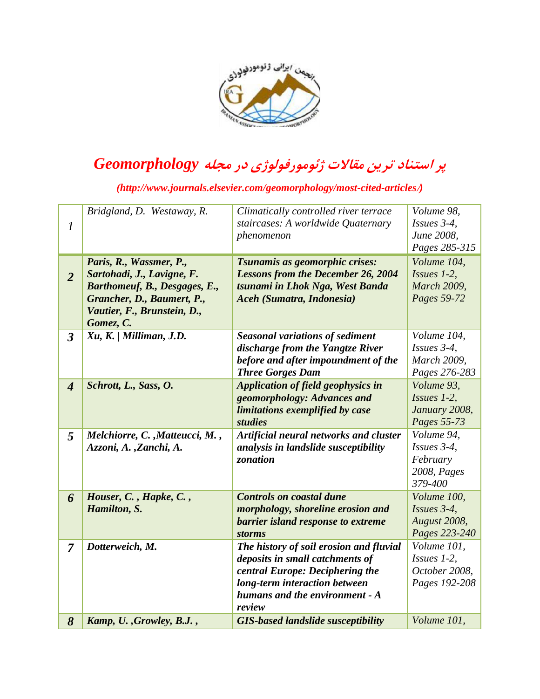

## **پر استناد ترین مقاالت ژئومورفولوژی در مجله** *Geomorphology*

*(http://www.journals.elsevier.com/geomorphology/most-cited-articles***/***)*

|                             | Bridgland, D. Westaway, R.     | Climatically controlled river terrace     | Volume 98,         |
|-----------------------------|--------------------------------|-------------------------------------------|--------------------|
| $\boldsymbol{l}$            |                                | staircases: A worldwide Quaternary        | Issues 3-4,        |
|                             |                                | phenomenon                                | June 2008,         |
|                             |                                |                                           | Pages 285-315      |
|                             | Paris, R., Wassmer, P.,        | Tsunamis as geomorphic crises:            | Volume 104,        |
| $\overline{2}$              | Sartohadi, J., Lavigne, F.     | <b>Lessons from the December 26, 2004</b> | Issues 1-2,        |
|                             | Barthomeuf, B., Desgages, E.,  | tsunami in Lhok Nga, West Banda           | <b>March 2009,</b> |
|                             | Grancher, D., Baumert, P.,     | Aceh (Sumatra, Indonesia)                 | Pages 59-72        |
|                             | Vautier, F., Brunstein, D.,    |                                           |                    |
|                             | Gomez, C.                      |                                           |                    |
| $\overline{3}$              | Xu, K. / Milliman, J.D.        | <b>Seasonal variations of sediment</b>    | Volume 104,        |
|                             |                                | discharge from the Yangtze River          | Issues 3-4,        |
|                             |                                | before and after impoundment of the       | <b>March 2009,</b> |
|                             |                                | <b>Three Gorges Dam</b>                   | Pages 276-283      |
| $\overline{\boldsymbol{4}}$ | Schrott, L., Sass, O.          | Application of field geophysics in        | Volume 93,         |
|                             |                                | geomorphology: Advances and               | $Isues$ 1-2,       |
|                             |                                | limitations exemplified by case           | January 2008,      |
|                             |                                | studies                                   | Pages 55-73        |
| 5                           | Melchiorre, C., Matteucci, M., | Artificial neural networks and cluster    | Volume 94,         |
|                             | Azzoni, A., Zanchi, A.         | analysis in landslide susceptibility      | Issues 3-4,        |
|                             |                                | zonation                                  | February           |
|                             |                                |                                           | 2008, Pages        |
|                             |                                |                                           | 379-400            |
| 6                           | Houser, C., Hapke, C.,         | <b>Controls on coastal dune</b>           | Volume 100,        |
|                             | Hamilton, S.                   | morphology, shoreline erosion and         | Issues 3-4,        |
|                             |                                | barrier island response to extreme        | August 2008,       |
|                             |                                | <i>storms</i>                             | Pages 223-240      |
| $\overline{7}$              | Dotterweich, M.                | The history of soil erosion and fluvial   | Volume 101,        |
|                             |                                | deposits in small catchments of           | $Issues$ 1-2,      |
|                             |                                | central Europe: Deciphering the           | October 2008,      |
|                             |                                | long-term interaction between             | Pages 192-208      |
|                             |                                | humans and the environment - A            |                    |
|                             |                                | review                                    |                    |
| 8                           | Kamp, U., Growley, B.J.,       | <b>GIS-based landslide susceptibility</b> | Volume 101,        |
|                             |                                |                                           |                    |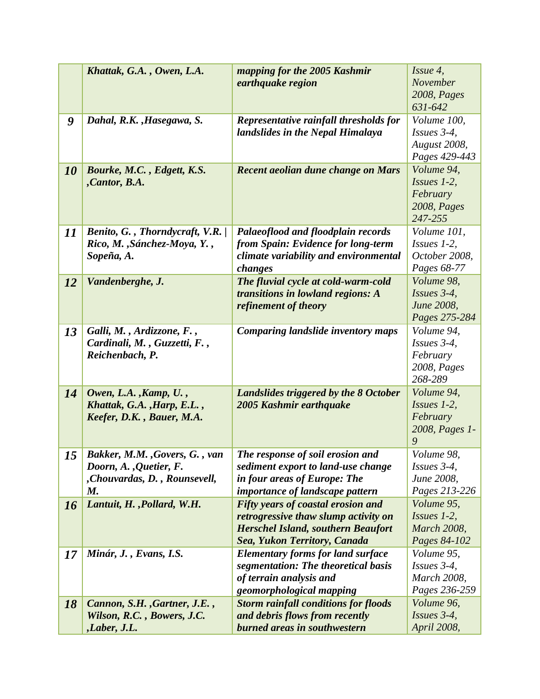|    | Khattak, G.A., Owen, L.A.                                                                      | mapping for the 2005 Kashmir<br>earthquake region                                                                                                              | Issue 4,<br>November<br>2008, Pages<br>631-642                    |
|----|------------------------------------------------------------------------------------------------|----------------------------------------------------------------------------------------------------------------------------------------------------------------|-------------------------------------------------------------------|
| 9  | Dahal, R.K., Hasegawa, S.                                                                      | Representative rainfall thresholds for<br>landslides in the Nepal Himalaya                                                                                     | Volume 100,<br>$Issues$ 3-4,<br>August 2008,<br>Pages 429-443     |
| 10 | Bourke, M.C., Edgett, K.S.<br>, Cantor, B.A.                                                   | Recent aeolian dune change on Mars                                                                                                                             | Volume 94,<br>$Isues$ 1-2,<br>February<br>2008, Pages<br>247-255  |
| 11 | Benito, G., Thorndycraft, V.R. /<br>Rico, M., Sánchez-Moya, Y.,<br>Sopeña, A.                  | Palaeoflood and floodplain records<br>from Spain: Evidence for long-term<br>climate variability and environmental<br>changes                                   | Volume 101,<br>$Issues$ 1-2,<br>October 2008,<br>Pages 68-77      |
| 12 | Vandenberghe, J.                                                                               | The fluvial cycle at cold-warm-cold<br>transitions in lowland regions: A<br>refinement of theory                                                               | Volume 98,<br>Issues 3-4,<br>June 2008,<br>Pages 275-284          |
| 13 | Galli, M., Ardizzone, F.,<br>Cardinali, M., Guzzetti, F.,<br>Reichenbach, P.                   | <b>Comparing landslide inventory maps</b>                                                                                                                      | Volume 94,<br>Issues 3-4,<br>February<br>2008, Pages<br>268-289   |
| 14 | Owen, L.A., Kamp, U.,<br>Khattak, G.A., Harp, E.L.,<br>Keefer, D.K., Bauer, M.A.               | Landslides triggered by the 8 October<br>2005 Kashmir earthquake                                                                                               | Volume 94,<br>$Isues$ 1-2,<br>February<br>2008, Pages 1-<br>9     |
| 15 | Bakker, M.M., Govers, G., van<br>Doorn, A., Quetier, F.<br>, Chouvardas, D., Rounsevell,<br>M. | The response of soil erosion and<br>sediment export to land-use change<br>in four areas of Europe: The<br><i>importance of landscape pattern</i>               | Volume 98,<br>Issues $3-4$ ,<br>June 2008,<br>Pages 213-226       |
| 16 | Lantuit, H., Pollard, W.H.                                                                     | Fifty years of coastal erosion and<br>retrogressive thaw slump activity on<br><b>Herschel Island, southern Beaufort</b><br><b>Sea, Yukon Territory, Canada</b> | Volume 95,<br>$Issues$ 1-2,<br><b>March 2008,</b><br>Pages 84-102 |
| 17 | Minár, J., Evans, I.S.                                                                         | <b>Elementary forms for land surface</b><br>segmentation: The theoretical basis<br>of terrain analysis and<br>geomorphological mapping                         | Volume 95,<br>Issues 3-4,<br><b>March 2008,</b><br>Pages 236-259  |
| 18 | Cannon, S.H., Gartner, J.E.,<br>Wilson, R.C., Bowers, J.C.<br>,Laber, J.L.                     | <b>Storm rainfall conditions for floods</b><br>and debris flows from recently<br>burned areas in southwestern                                                  | Volume 96,<br>Issues 3-4,<br>April 2008,                          |